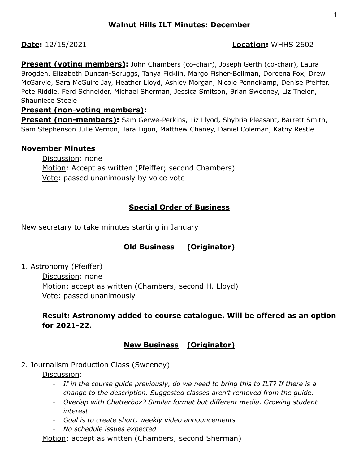## **Date:** 12/15/2021 **Location:** WHHS 2602

**Present (voting members):** John Chambers (co-chair), Joseph Gerth (co-chair), Laura Brogden, Elizabeth Duncan-Scruggs, Tanya Ficklin, Margo Fisher-Bellman, Doreena Fox, Drew McGarvie, Sara McGuire Jay, Heather Lloyd, Ashley Morgan, Nicole Pennekamp, Denise Pfeiffer, Pete Riddle, Ferd Schneider, Michael Sherman, Jessica Smitson, Brian Sweeney, Liz Thelen, Shauniece Steele

## **Present (non-voting members):**

**Present (non-members):** Sam Gerwe-Perkins, Liz Llyod, Shybria Pleasant, Barrett Smith, Sam Stephenson Julie Vernon, Tara Ligon, Matthew Chaney, Daniel Coleman, Kathy Restle

## **November Minutes**

Discussion: none Motion: Accept as written (Pfeiffer; second Chambers) Vote: passed unanimously by voice vote

# **Special Order of Business**

New secretary to take minutes starting in January

# **Old Business (Originator)**

1. Astronomy (Pfeiffer)

Discussion: none Motion: accept as written (Chambers; second H. Lloyd) Vote: passed unanimously

# **Result: Astronomy added to course catalogue. Will be offered as an option for 2021-22.**

# **New Business (Originator)**

2. Journalism Production Class (Sweeney)

Discussion:

- *- If in the course guide previously, do we need to bring this to ILT? If there is a change to the description. Suggested classes aren't removed from the guide.*
- *- Overlap with Chatterbox? Similar format but different media. Growing student interest.*
- *- Goal is to create short, weekly video announcements*
- *- No schedule issues expected*

Motion: accept as written (Chambers; second Sherman)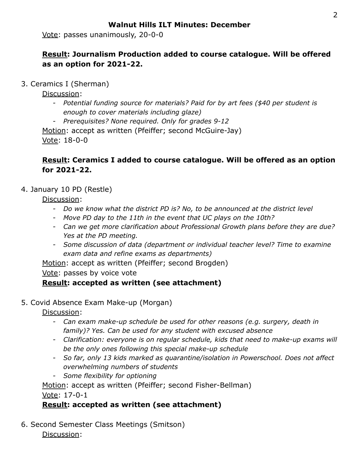## **Walnut Hills ILT Minutes: December**

Vote: passes unanimously, 20-0-0

# **Result: Journalism Production added to course catalogue. Will be offered as an option for 2021-22.**

3. Ceramics I (Sherman)

Discussion:

- *- Potential funding source for materials? Paid for by art fees (\$40 per student is enough to cover materials including glaze)*
- *- Prerequisites? None required. Only for grades 9-12*

Motion: accept as written (Pfeiffer; second McGuire-Jay) Vote: 18-0-0

## **Result: Ceramics I added to course catalogue. Will be offered as an option for 2021-22.**

## 4. January 10 PD (Restle)

Discussion:

- *- Do we know what the district PD is? No, to be announced at the district level*
- *- Move PD day to the 11th in the event that UC plays on the 10th?*
- *- Can we get more clarification about Professional Growth plans before they are due? Yes at the PD meeting.*
- *- Some discussion of data (department or individual teacher level? Time to examine exam data and refine exams as departments)*

Motion: accept as written (Pfeiffer; second Brogden)

Vote: passes by voice vote

## **Result: accepted as written (see attachment)**

## 5. Covid Absence Exam Make-up (Morgan)

Discussion:

- *- Can exam make-up schedule be used for other reasons (e.g. surgery, death in family)? Yes. Can be used for any student with excused absence*
- *- Clarification: everyone is on regular schedule, kids that need to make-up exams will be the only ones following this special make-up schedule*
- *- So far, only 13 kids marked as quarantine/isolation in Powerschool. Does not affect overwhelming numbers of students*
- *- Some flexibility for optioning*

Motion: accept as written (Pfeiffer; second Fisher-Bellman)

Vote: 17-0-1

# **Result: accepted as written (see attachment)**

6. Second Semester Class Meetings (Smitson) Discussion: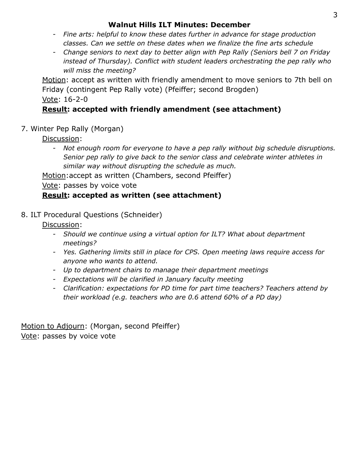## **Walnut Hills ILT Minutes: December**

- *- Fine arts: helpful to know these dates further in advance for stage production classes. Can we settle on these dates when we finalize the fine arts schedule*
- *- Change seniors to next day to better align with Pep Rally (Seniors bell 7 on Friday instead of Thursday). Conflict with student leaders orchestrating the pep rally who will miss the meeting?*

Motion: accept as written with friendly amendment to move seniors to 7th bell on Friday (contingent Pep Rally vote) (Pfeiffer; second Brogden) Vote: 16-2-0

# **Result: accepted with friendly amendment (see attachment)**

# 7. Winter Pep Rally (Morgan)

Discussion:

*- Not enough room for everyone to have a pep rally without big schedule disruptions. Senior pep rally to give back to the senior class and celebrate winter athletes in similar way without disrupting the schedule as much.*

Motion:accept as written (Chambers, second Pfeiffer)

Vote: passes by voice vote

# **Result: accepted as written (see attachment)**

# 8. ILT Procedural Questions (Schneider)

Discussion:

- *- Should we continue using a virtual option for ILT? What about department meetings?*
- *- Yes. Gathering limits still in place for CPS. Open meeting laws require access for anyone who wants to attend.*
- *- Up to department chairs to manage their department meetings*
- *- Expectations will be clarified in January faculty meeting*
- *- Clarification: expectations for PD time for part time teachers? Teachers attend by their workload (e.g. teachers who are 0.6 attend 60% of a PD day)*

Motion to Adjourn: (Morgan, second Pfeiffer) Vote: passes by voice vote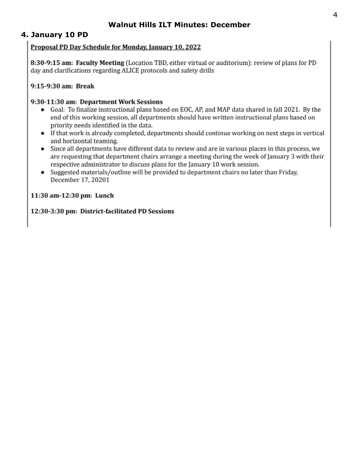## **Walnut Hills ILT Minutes: December**

## 4. January 10 PD

### Proposal PD Day Schedule for Monday, January 10, 2022

8:30-9:15 am: Faculty Meeting (Location TBD, either virtual or auditorium): review of plans for PD day and clarifications regarding ALICE protocols and safety drills

### 9:15-9:30 am: Break

#### 9:30-11:30 am: Department Work Sessions

- Goal: To finalize instructional plans based on EOC, AP, and MAP data shared in fall 2021. By the  $\bullet$ end of this working session, all departments should have written instructional plans based on priority needs identified in the data.
- If that work is already completed, departments should continue working on next steps in vertical and horizontal teaming.
- Since all departments have different data to review and are in various places in this process, we are requesting that department chairs arrange a meeting during the week of January 3 with their respective administrator to discuss plans for the January 10 work session.
- Suggested materials/outline will be provided to department chairs no later than Friday, December 17, 20201

### 11:30 am-12:30 pm: Lunch

### 12:30-3:30 pm: District-facilitated PD Sessions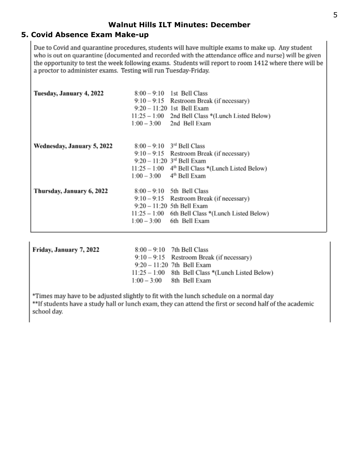## **5. Covid Absence Exam Make-up**

Due to Covid and quarantine procedures, students will have multiple exams to make up. Any student who is out on quarantine (documented and recorded with the attendance office and nurse) will be given the opportunity to test the week following exams. Students will report to room 1412 where there will be a proctor to administer exams. Testing will run Tuesday-Friday.

| Tuesday, January 4, 2022   | $8:00 - 9:10$ 1st Bell Class<br>$9:10-9:15$ Restroom Break (if necessary)<br>$9:20 - 11:20$ 1st Bell Exam<br>11:25 - 1:00 2nd Bell Class *(Lunch Listed Below)<br>$1:00 - 3:00$ 2nd Bell Exam                                                 |
|----------------------------|-----------------------------------------------------------------------------------------------------------------------------------------------------------------------------------------------------------------------------------------------|
| Wednesday, January 5, 2022 | $8:00 - 9:10$ 3 <sup>rd</sup> Bell Class<br>$9:10-9:15$ Restroom Break (if necessary)<br>$9:20 - 11:20$ 3 <sup>rd</sup> Bell Exam<br>$11:25 - 1:00$ 4 <sup>th</sup> Bell Class *(Lunch Listed Below)<br>$1:00-3:00$ 4 <sup>th</sup> Bell Exam |
| Thursday, January 6, 2022  | $8:00 - 9:10$ 5th Bell Class<br>$9:10-9:15$ Restroom Break (if necessary)<br>$9:20 - 11:20$ 5th Bell Exam<br>$11:25 - 1:00$ 6th Bell Class *(Lunch Listed Below)<br>$1:00 - 3:00$ 6th Bell Exam                                               |

| Friday, January 7, 2022 | $8:00 - 9:10$ 7th Bell Class                        |  |  |
|-------------------------|-----------------------------------------------------|--|--|
|                         | $9:10-9:15$ Restroom Break (if necessary)           |  |  |
|                         | $9:20 - 11:20$ 7th Bell Exam                        |  |  |
|                         | $11:25 - 1:00$ 8th Bell Class *(Lunch Listed Below) |  |  |
|                         | $1:00 - 3:00$ 8th Bell Exam                         |  |  |
|                         |                                                     |  |  |

\*Times may have to be adjusted slightly to fit with the lunch schedule on a normal day \*\*If students have a study hall or lunch exam, they can attend the first or second half of the academic school day.